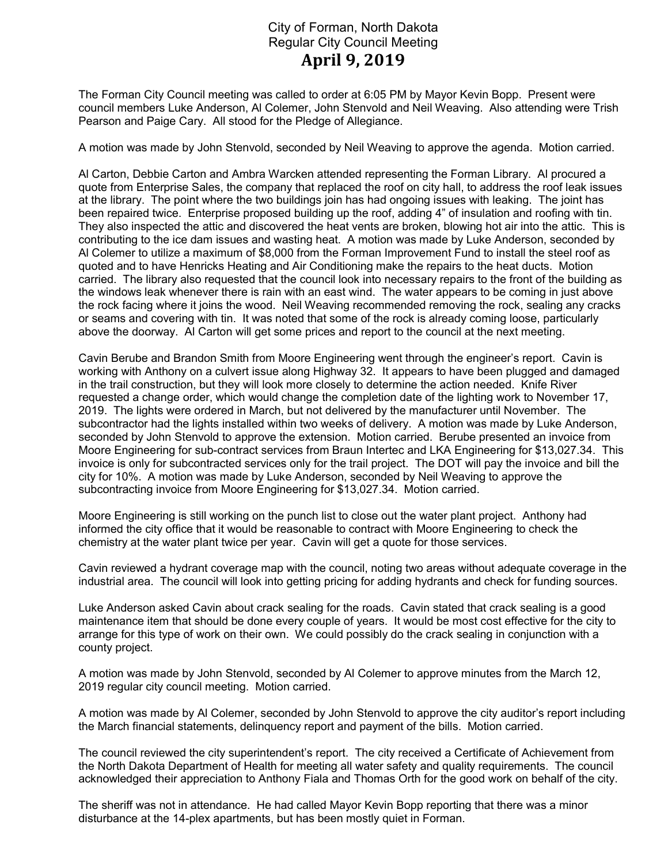## City of Forman, North Dakota Regular City Council Meeting April 9, 2019

The Forman City Council meeting was called to order at 6:05 PM by Mayor Kevin Bopp. Present were council members Luke Anderson, Al Colemer, John Stenvold and Neil Weaving. Also attending were Trish Pearson and Paige Cary. All stood for the Pledge of Allegiance.

A motion was made by John Stenvold, seconded by Neil Weaving to approve the agenda. Motion carried.

Al Carton, Debbie Carton and Ambra Warcken attended representing the Forman Library. Al procured a quote from Enterprise Sales, the company that replaced the roof on city hall, to address the roof leak issues at the library. The point where the two buildings join has had ongoing issues with leaking. The joint has been repaired twice. Enterprise proposed building up the roof, adding 4" of insulation and roofing with tin. They also inspected the attic and discovered the heat vents are broken, blowing hot air into the attic. This is contributing to the ice dam issues and wasting heat. A motion was made by Luke Anderson, seconded by Al Colemer to utilize a maximum of \$8,000 from the Forman Improvement Fund to install the steel roof as quoted and to have Henricks Heating and Air Conditioning make the repairs to the heat ducts. Motion carried. The library also requested that the council look into necessary repairs to the front of the building as the windows leak whenever there is rain with an east wind. The water appears to be coming in just above the rock facing where it joins the wood. Neil Weaving recommended removing the rock, sealing any cracks or seams and covering with tin. It was noted that some of the rock is already coming loose, particularly above the doorway. Al Carton will get some prices and report to the council at the next meeting.

Cavin Berube and Brandon Smith from Moore Engineering went through the engineer's report. Cavin is working with Anthony on a culvert issue along Highway 32. It appears to have been plugged and damaged in the trail construction, but they will look more closely to determine the action needed. Knife River requested a change order, which would change the completion date of the lighting work to November 17, 2019. The lights were ordered in March, but not delivered by the manufacturer until November. The subcontractor had the lights installed within two weeks of delivery. A motion was made by Luke Anderson, seconded by John Stenvold to approve the extension. Motion carried. Berube presented an invoice from Moore Engineering for sub-contract services from Braun Intertec and LKA Engineering for \$13,027.34. This invoice is only for subcontracted services only for the trail project. The DOT will pay the invoice and bill the city for 10%. A motion was made by Luke Anderson, seconded by Neil Weaving to approve the subcontracting invoice from Moore Engineering for \$13,027.34. Motion carried.

Moore Engineering is still working on the punch list to close out the water plant project. Anthony had informed the city office that it would be reasonable to contract with Moore Engineering to check the chemistry at the water plant twice per year. Cavin will get a quote for those services.

Cavin reviewed a hydrant coverage map with the council, noting two areas without adequate coverage in the industrial area. The council will look into getting pricing for adding hydrants and check for funding sources.

Luke Anderson asked Cavin about crack sealing for the roads. Cavin stated that crack sealing is a good maintenance item that should be done every couple of years. It would be most cost effective for the city to arrange for this type of work on their own. We could possibly do the crack sealing in conjunction with a county project.

A motion was made by John Stenvold, seconded by Al Colemer to approve minutes from the March 12, 2019 regular city council meeting. Motion carried.

A motion was made by Al Colemer, seconded by John Stenvold to approve the city auditor's report including the March financial statements, delinquency report and payment of the bills. Motion carried.

The council reviewed the city superintendent's report. The city received a Certificate of Achievement from the North Dakota Department of Health for meeting all water safety and quality requirements. The council acknowledged their appreciation to Anthony Fiala and Thomas Orth for the good work on behalf of the city.

The sheriff was not in attendance. He had called Mayor Kevin Bopp reporting that there was a minor disturbance at the 14-plex apartments, but has been mostly quiet in Forman.